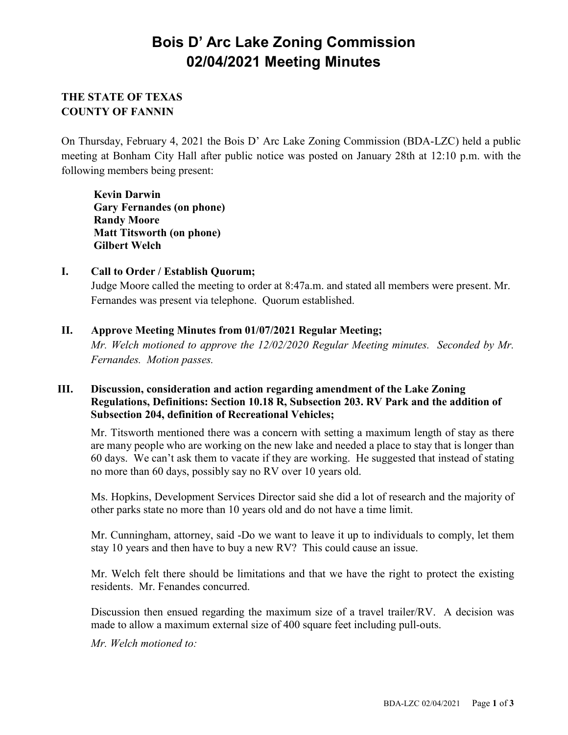# **Bois D' Arc Lake Zoning Commission 02/04/2021 Meeting Minutes**

## **THE STATE OF TEXAS COUNTY OF FANNIN**

On Thursday, February 4, 2021 the Bois D' Arc Lake Zoning Commission (BDA-LZC) held a public meeting at Bonham City Hall after public notice was posted on January 28th at 12:10 p.m. with the following members being present:

**Kevin Darwin Gary Fernandes (on phone) Randy Moore Matt Titsworth (on phone) Gilbert Welch**

## **I. Call to Order / Establish Quorum;**

Judge Moore called the meeting to order at 8:47a.m. and stated all members were present. Mr. Fernandes was present via telephone. Quorum established.

## **II. Approve Meeting Minutes from 01/07/2021 Regular Meeting;**

*Mr. Welch motioned to approve the 12/02/2020 Regular Meeting minutes. Seconded by Mr. Fernandes. Motion passes.*

#### **III. Discussion, consideration and action regarding amendment of the Lake Zoning Regulations, Definitions: Section 10.18 R, Subsection 203. RV Park and the addition of Subsection 204, definition of Recreational Vehicles;**

Mr. Titsworth mentioned there was a concern with setting a maximum length of stay as there are many people who are working on the new lake and needed a place to stay that is longer than 60 days. We can't ask them to vacate if they are working. He suggested that instead of stating no more than 60 days, possibly say no RV over 10 years old.

Ms. Hopkins, Development Services Director said she did a lot of research and the majority of other parks state no more than 10 years old and do not have a time limit.

Mr. Cunningham, attorney, said -Do we want to leave it up to individuals to comply, let them stay 10 years and then have to buy a new RV? This could cause an issue.

Mr. Welch felt there should be limitations and that we have the right to protect the existing residents. Mr. Fenandes concurred.

Discussion then ensued regarding the maximum size of a travel trailer/RV. A decision was made to allow a maximum external size of 400 square feet including pull-outs.

*Mr. Welch motioned to:*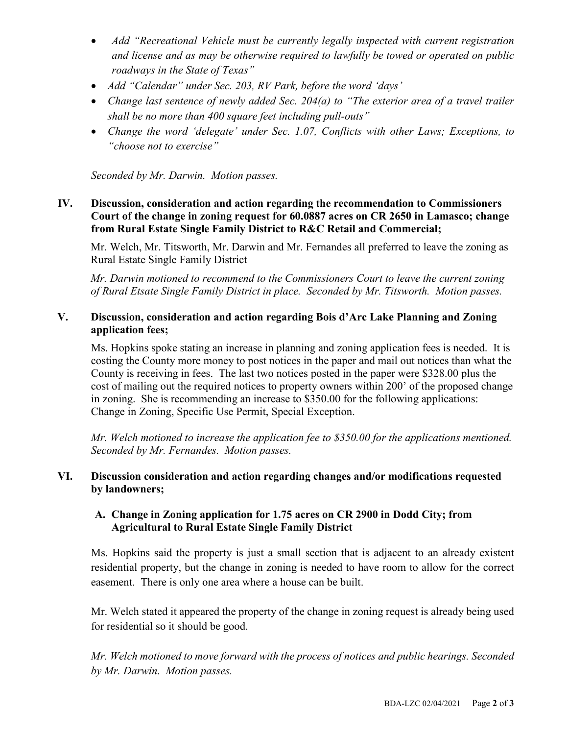- *Add "Recreational Vehicle must be currently legally inspected with current registration and license and as may be otherwise required to lawfully be towed or operated on public roadways in the State of Texas"*
- *Add "Calendar" under Sec. 203, RV Park, before the word 'days'*
- *Change last sentence of newly added Sec. 204(a) to "The exterior area of a travel trailer shall be no more than 400 square feet including pull-outs"*
- *Change the word 'delegate' under Sec. 1.07, Conflicts with other Laws; Exceptions, to "choose not to exercise"*

*Seconded by Mr. Darwin. Motion passes.*

#### **IV. Discussion, consideration and action regarding the recommendation to Commissioners Court of the change in zoning request for 60.0887 acres on CR 2650 in Lamasco; change from Rural Estate Single Family District to R&C Retail and Commercial;**

Mr. Welch, Mr. Titsworth, Mr. Darwin and Mr. Fernandes all preferred to leave the zoning as Rural Estate Single Family District

*Mr. Darwin motioned to recommend to the Commissioners Court to leave the current zoning of Rural Etsate Single Family District in place. Seconded by Mr. Titsworth. Motion passes.*

## **V. Discussion, consideration and action regarding Bois d'Arc Lake Planning and Zoning application fees;**

Ms. Hopkins spoke stating an increase in planning and zoning application fees is needed. It is costing the County more money to post notices in the paper and mail out notices than what the County is receiving in fees. The last two notices posted in the paper were \$328.00 plus the cost of mailing out the required notices to property owners within 200' of the proposed change in zoning. She is recommending an increase to \$350.00 for the following applications: Change in Zoning, Specific Use Permit, Special Exception.

*Mr. Welch motioned to increase the application fee to \$350.00 for the applications mentioned. Seconded by Mr. Fernandes. Motion passes.*

## **VI. Discussion consideration and action regarding changes and/or modifications requested by landowners;**

## **A. Change in Zoning application for 1.75 acres on CR 2900 in Dodd City; from Agricultural to Rural Estate Single Family District**

Ms. Hopkins said the property is just a small section that is adjacent to an already existent residential property, but the change in zoning is needed to have room to allow for the correct easement. There is only one area where a house can be built.

Mr. Welch stated it appeared the property of the change in zoning request is already being used for residential so it should be good.

*Mr. Welch motioned to move forward with the process of notices and public hearings. Seconded by Mr. Darwin. Motion passes.*